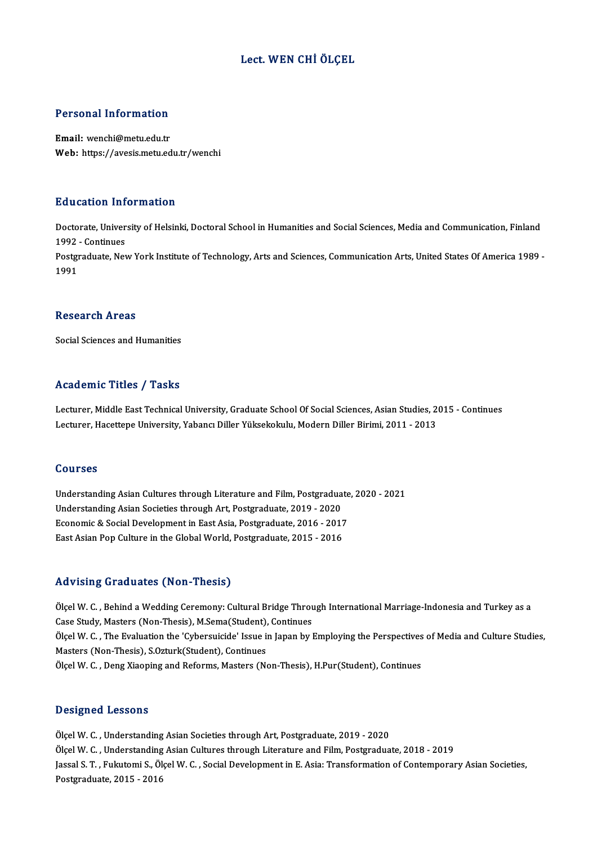# Lect.WEN CHİÖLÇEL

### Personal Information

Email: wenchi@metu.edu.tr Web: https://avesis.metu.edu.tr/wenchi

#### Education Information

**Education Information**<br>Doctorate, University of Helsinki, Doctoral School in Humanities and Social Sciences, Media and Communication, Finland<br>1993 - Continues Euclescon<br>Doctorate, Univer<br>1992 - Continues<br>Postareduate, New Doctorate, University of Helsinki, Doctoral School in Humanities and Social Sciences, Media and Communication, Finland<br>1992 - Continues<br>Postgraduate, New York Institute of Technology, Arts and Sciences, Communication Arts,

1992<br>Postgi<br>1991 1991<br>Research Areas

Social Sciences and Humanities

## Academic Titles / Tasks

Academic Titles / Tasks<br>Lecturer, Middle East Technical University, Graduate School Of Social Sciences, Asian Studies, 2015 - Continues<br>Lecturer, Hacettene University, Yabang: Diller Vülsekekulu, Medern Diller Birimi, 2011 Lecturer, Middle East Technical University, Graduate School Of Social Sciences, Asian Studies, 2<br>Lecturer, Middle East Technical University, Graduate School Of Social Sciences, Asian Studies, 2<br>Lecturer, Hacettepe Universi Lecturer, Hacettepe University, Yabancı Diller Yüksekokulu, Modern Diller Birimi, 2011 - 2013<br>Courses

UnderstandingAsianCultures through Literature and Film,Postgraduate,2020 -2021 Understanding Asian Cultures through Literature and Film, Postgradua<br>Understanding Asian Societies through Art, Postgraduate, 2019 - 2020<br>Feenemis & Sociel Development in Feet Asia, Bostgraduate, 2016 - 2017 Understanding Asian Cultures through Literature and Film, Postgraduate<br>Understanding Asian Societies through Art, Postgraduate, 2019 - 2020<br>Economic & Social Development in East Asia, Postgraduate, 2016 - 2017<br>Fest Asian P Economic & Social Development in East Asia, Postgraduate, 2016 - 2017<br>East Asian Pop Culture in the Global World, Postgraduate, 2015 - 2016

#### Advising Graduates (Non-Thesis)

Advising Graduates (Non-Thesis)<br>Ölçel W. C. , Behind a Wedding Ceremony: Cultural Bridge Through International Marriage-Indonesia and Turkey as a<br>Case Study, Masters (Non Thesis), M.Soma(Student), Continues Case Study, Masters (Non-Thesis),<br>Case Study, Masters (Non-Thesis), M.Sema(Student), Continues<br>Case Study, Masters (Non-Thesis), M.Sema(Student), Continues Ölçel W. C. , Behind a Wedding Ceremony: Cultural Bridge Through International Marriage-Indonesia and Turkey as a<br>Case Study, Masters (Non-Thesis), M.Sema(Student), Continues<br>Ölçel W. C. , The Evaluation the 'Cybersuicide' Case Study, Masters (Non-Thesis), M.Sema(Student), Continues<br>Ölçel W. C. , The Evaluation the 'Cybersuicide' Issue in Japan by Employing the Perspectives<br>Masters (Non-Thesis), S.Ozturk(Student), Continues<br>Ölçel W. C. , Den Ölçel W. C. , The Evaluation the 'Cybersuicide' Issue in Japan by Employing the Perspectives<br>Masters (Non-Thesis), S.Ozturk(Student), Continues<br>Ölçel W. C. , Deng Xiaoping and Reforms, Masters (Non-Thesis), H.Pur(Student),

### Designed Lessons

Ölçel W. C., Understanding Asian Societies through Art, Postgraduate, 2019 - 2020 Ölçel W.C., Understanding Asian Cultures through Literature and Film, Postgraduate, 2018 - 2019 Ölçel W. C. , Understanding Asian Societies through Art, Postgraduate, 2019 - 2020<br>Ölçel W. C. , Understanding Asian Cultures through Literature and Film, Postgraduate, 2018 - 2019<br>Jassal S. T. , Fukutomi S., Ölçel W. C. , Ölçel W. C. , Understanding<br>Jassal S. T. , Fukutomi S., Öl<br>Postgraduate, 2015 - 2016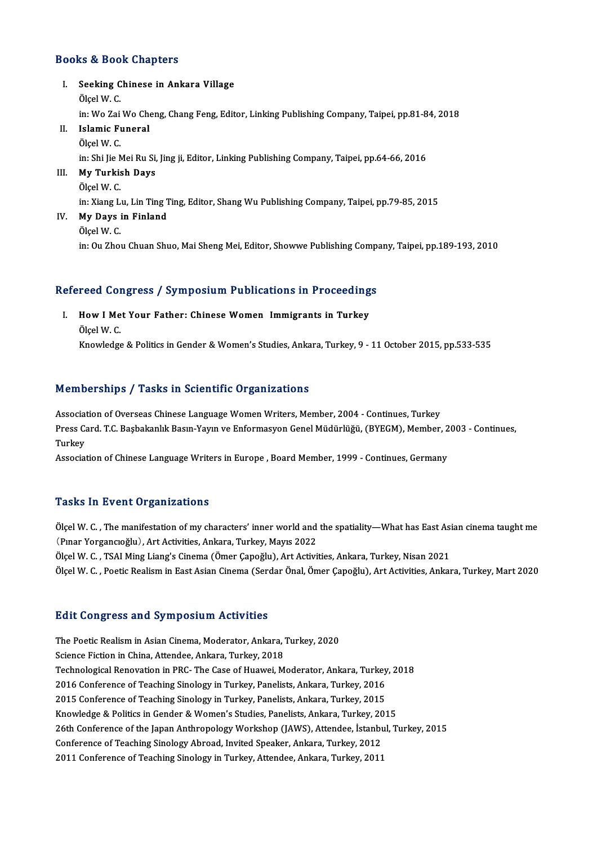# Books&Book Chapters

ooks & Book Chapters<br>I. Seeking Chinese in Ankara Village<br>Ölgel W. C Seeking<br>Seeking C<br>Ölçel W. C.<br>in: We Zei Seeking Chinese in Ankara Village<br>Ölçel W. C.<br>in: Wo Zai Wo Cheng, Chang Feng, Editor, Linking Publishing Company, Taipei, pp.81-84, 2018<br>Jelamia Eunaral Ölçel W. C.<br>in: Wo Zai Wo Che<br>II. Islamic Funeral<br>Ölçel W. C. in: Wo Zai<br>I<mark>slamic F</mark>u<br>Ölçel W. C.<br>in: Shi Jia N Islamic Funeral<br>Ölçel W. C.<br>in: Shi Jie Mei Ru Si, Jing ji, Editor, Linking Publishing Company, Taipei, pp.64-66, 2016<br>Mu Turkish Davs III. My Turkish Days<br>Ölçel W. C. in: Shi Jie N<br><mark>My Turki</mark>s<br>Ölçel W. C.<br>in: Yiang L in: Xiang Lu, Lin Ting Ting, Editor, Shang Wu Publishing Company, Taipei, pp.79-85, 2015 IV. My Days in Finland ÖlçelW.C. in: Ou Zhou Chuan Shuo, Mai Sheng Mei, Editor, Showwe Publishing Company, Taipei, pp.189-193, 2010

# m: ou zhou chuan shuo, mai sheng mei, Editor, Showwe Publishing comp.<br>Refereed Congress / Symposium Publications in Proceedings

efereed Congress / Symposium Publications in Proceeding<br>I. How I Met Your Father: Chinese Women Immigrants in Turkey I. How I Met Your Father: Chinese Women Immigrants in Turkey Ölcel W. C. Knowledge & Politics in Gender & Women's Studies, Ankara, Turkey, 9 - 11 October 2015, pp.533-535

# Memberships / Tasks in Scientific Organizations

Association of Overseas Chinese Language Women Writers, Member, 2004 - Continues, Turkey Pressiece Chryce y Plache in Scientente of gammationis<br>Association of Overseas Chinese Language Women Writers, Member, 2004 - Continues, Turkey<br>Press Card. T.C. Başbakanlık Basın-Yayın ve Enformasyon Genel Müdürlüğü, (BYEG Associat<br>Press Ca<br>Turkey<br>Associat Press Card. T.C. Başbakanlık Basın-Yayın ve Enformasyon Genel Müdürlüğü, (BYEGM), Member, 2<br>Turkey<br>Association of Chinese Language Writers in Europe , Board Member, 1999 - Continues, Germany

Association of Chinese Language Writers in Europe , Board Member, 1999 - Continues, Germany<br>Tasks In Event Organizations

Tasks In Event Organizations<br>Ölçel W. C. , The manifestation of my characters' inner world and the spatiality—What has East Asian cinema taught me<br>(Pinar Yorgangoğlu), Art Activities, Ankara Turkey, Meyre 2022 (Pushs III EV SIL OF Gammations)<br>(Pushs) (Pushs), The manifestation of my characters' inner world and<br>(Push W. G., TSAL Ming Linne's Cinema (Omen Canoğlu), Art Activi Ölçel W. C. , The manifestation of my characters' inner world and the spatiality—What has East Asi<br>(Pinar Yorgancioğlu), Art Activities, Ankara, Turkey, Mayis 2022<br>Ölçel W. C. , TSAI Ming Liang's Cinema (Ömer Çapoğlu), Art (Pınar Yorgancıoğlu), Art Activities, Ankara, Turkey, Mayıs 2022<br>Ölçel W. C. , TSAI Ming Liang's Cinema (Ömer Çapoğlu), Art Activities, Ankara, Turkey, Nisan 2021<br>Ölçel W. C. , Poetic Realism in East Asian Cinema (Serdar Ö

# **Edit Congress and Symposium Activities**

Edit Congress and Symposium Activities<br>The Poetic Realism in Asian Cinema, Moderator, Ankara, Turkey, 2020<br>Science Fiction in China, Attordee, Ankara, Turkey, 2019 Science Songs Coo and Sympoordin receivered<br>The Poetic Realism in Asian Cinema, Moderator, Ankara, '<br>Science Fiction in China, Attendee, Ankara, Turkey, 2018 Science Fiction in China, Attendee, Ankara, Turkey, 2018<br>Technological Renovation in PRC- The Case of Huawei, Moderator, Ankara, Turkey, 2018 Science Fiction in China, Attendee, Ankara, Turkey, 2018<br>Technological Renovation in PRC- The Case of Huawei, Moderator, Ankara, Turkey,<br>2016 Conference of Teaching Sinology in Turkey, Panelists, Ankara, Turkey, 2016<br>2015 Technological Renovation in PRC- The Case of Huawei, Moderator, Ankara, Turkey<br>2016 Conference of Teaching Sinology in Turkey, Panelists, Ankara, Turkey, 2016<br>2015 Conference of Teaching Sinology in Turkey, Panelists, Anka 2016 Conference of Teaching Sinology in Turkey, Panelists, Ankara, Turkey, 2016<br>2015 Conference of Teaching Sinology in Turkey, Panelists, Ankara, Turkey, 2015<br>Knowledge & Politics in Gender & Women's Studies, Panelists, A 2015 Conference of Teaching Sinology in Turkey, Panelists, Ankara, Turkey, 2015<br>Knowledge & Politics in Gender & Women's Studies, Panelists, Ankara, Turkey, 2015<br>26th Conference of the Japan Anthropology Workshop (JAWS), A Knowledge & Politics in Gender & Women's Studies, Panelists, Ankara, Turkey, 20<br>26th Conference of the Japan Anthropology Workshop (JAWS), Attendee, İstanbı<br>Conference of Teaching Sinology Abroad, Invited Speaker, Ankara, 26th Conference of the Japan Anthropology Workshop (JAWS), Attendee, İstanbu<br>Conference of Teaching Sinology Abroad, Invited Speaker, Ankara, Turkey, 2012<br>2011 Conference of Teaching Sinology in Turkey, Attendee, Ankara, T